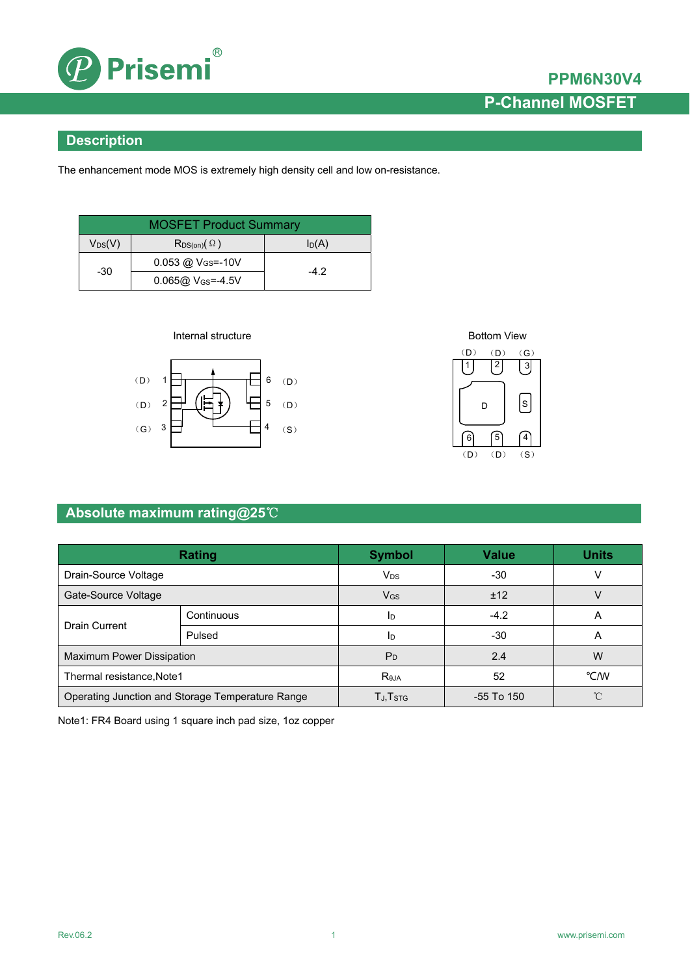

### **Description**

The enhancement mode MOS is extremely high density cell and low on-resistance.

| <b>MOSFET Product Summary</b> |                                  |        |  |  |
|-------------------------------|----------------------------------|--------|--|--|
| $V_{DS}(V)$                   | $R_{DS(on)}(\Omega)$             | ln(A)  |  |  |
| $-30$                         | $0.053$ @ $V_{\text{GS}} = -10V$ |        |  |  |
|                               | $0.065@V_{GS} = -4.5V$           | $-4.2$ |  |  |







### **Absolute maximum rating@25**℃

| Rating                                           |            | <b>Symbol</b>                      | <b>Value</b> | <b>Units</b> |
|--------------------------------------------------|------------|------------------------------------|--------------|--------------|
| Drain-Source Voltage                             |            | <b>V<sub>DS</sub></b>              | $-30$        |              |
| Gate-Source Voltage                              |            | $V$ <sub>GS</sub>                  | ±12          |              |
| <b>Drain Current</b>                             | Continuous | Iр                                 | $-4.2$       | A            |
|                                                  | Pulsed     | I <sub>D</sub>                     | $-30$        | A            |
| Maximum Power Dissipation                        |            | P <sub>D</sub>                     | 2.4          | W            |
| Thermal resistance, Note1                        |            | <b>Reja</b>                        | 52           | °C/W         |
| Operating Junction and Storage Temperature Range |            | $T_{\mathsf{J}}, T_{\mathsf{STG}}$ | -55 To 150   | ∽            |

Note1: FR4 Board using 1 square inch pad size, 1oz copper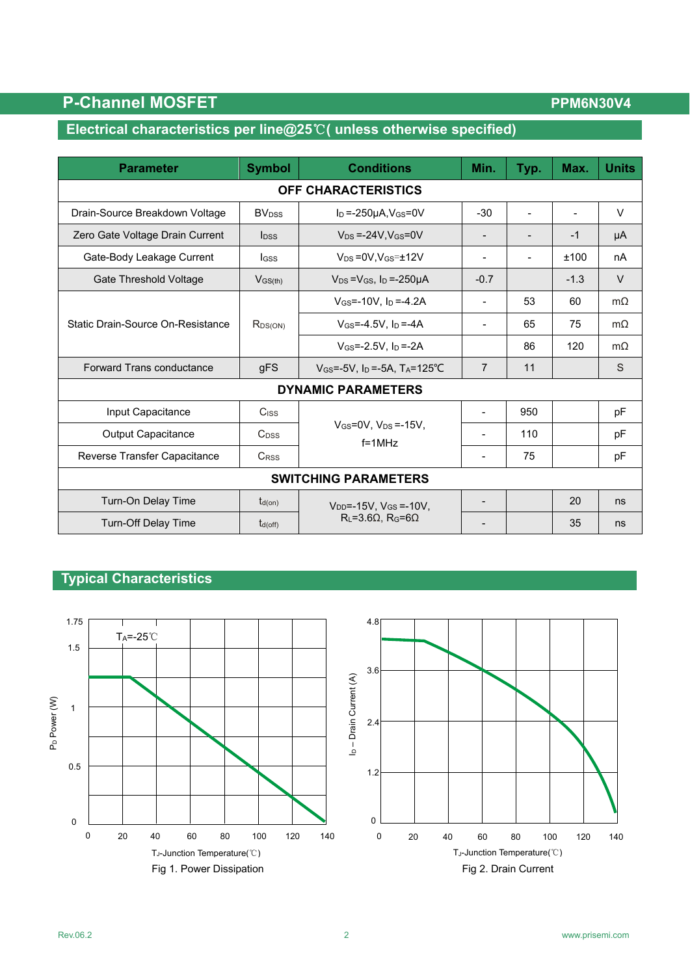## **Electrical characteristics per line@25**℃**( unless otherwise specified)**

| <b>Parameter</b>                  | <b>Symbol</b>            | <b>Conditions</b>                                            | Min.                     | Typ.           | Max.   | <b>Units</b> |  |
|-----------------------------------|--------------------------|--------------------------------------------------------------|--------------------------|----------------|--------|--------------|--|
| OFF CHARACTERISTICS               |                          |                                                              |                          |                |        |              |  |
| Drain-Source Breakdown Voltage    | <b>BV</b> <sub>DSS</sub> | $I_D = -250\mu A$ , $V_{GS} = 0V$                            | $-30$                    | $\blacksquare$ |        | $\vee$       |  |
| Zero Gate Voltage Drain Current   | <b>l</b> <sub>DSS</sub>  | $V_{DS} = -24V$ , $V_{GS} = 0V$                              | $\overline{\phantom{a}}$ |                | $-1$   | μA           |  |
| Gate-Body Leakage Current         | lgss                     | $V_{DS} = 0V$ , $V_{GS} = \pm 12V$                           |                          |                | ±100   | nA           |  |
| Gate Threshold Voltage            | $V$ <sub>GS(th)</sub>    | $V_{DS} = V_{GS}$ , $I_D = -250 \mu A$                       | $-0.7$                   |                | $-1.3$ | $\vee$       |  |
|                                   | $R_{DS(ON)}$             | $V_{GS} = -10V$ , $I_D = -4.2A$                              |                          | 53             | 60     | $m\Omega$    |  |
| Static Drain-Source On-Resistance |                          | $V$ <sub>GS</sub> =-4.5V, $I_D$ =-4A                         |                          | 65             | 75     | $m\Omega$    |  |
|                                   |                          | $V$ <sub>GS</sub> =-2.5V, $I_D$ =-2A                         |                          | 86             | 120    | $m\Omega$    |  |
| Forward Trans conductance         | gFS                      | $V_{GS} = -5V$ , I <sub>D</sub> = -5A, T <sub>A</sub> =125°C | $\overline{7}$           | 11             |        | S            |  |
| <b>DYNAMIC PARAMETERS</b>         |                          |                                                              |                          |                |        |              |  |
| Input Capacitance                 | Ciss                     |                                                              |                          | 950            |        | pF           |  |
| Output Capacitance                | C <sub>DSS</sub>         | $V_{GS}=0V$ , $V_{DS}=15V$ ,<br>$f = 1$ MHz                  |                          | 110            |        | pF           |  |
| Reverse Transfer Capacitance      | <b>CRSS</b>              |                                                              | $\overline{\phantom{a}}$ | 75             |        | pF           |  |
| <b>SWITCHING PARAMETERS</b>       |                          |                                                              |                          |                |        |              |  |
| Turn-On Delay Time                | $t_{d(on)}$              | $V_{DD} = -15V$ , $V_{GS} = -10V$ ,                          | $\overline{\phantom{0}}$ |                | 20     | ns           |  |
| <b>Turn-Off Delay Time</b>        | $t_{d(off)}$             | $R_L = 3.6\Omega$ , $R_G = 6\Omega$                          |                          |                | 35     | ns           |  |

#### **Typical Characteristics**

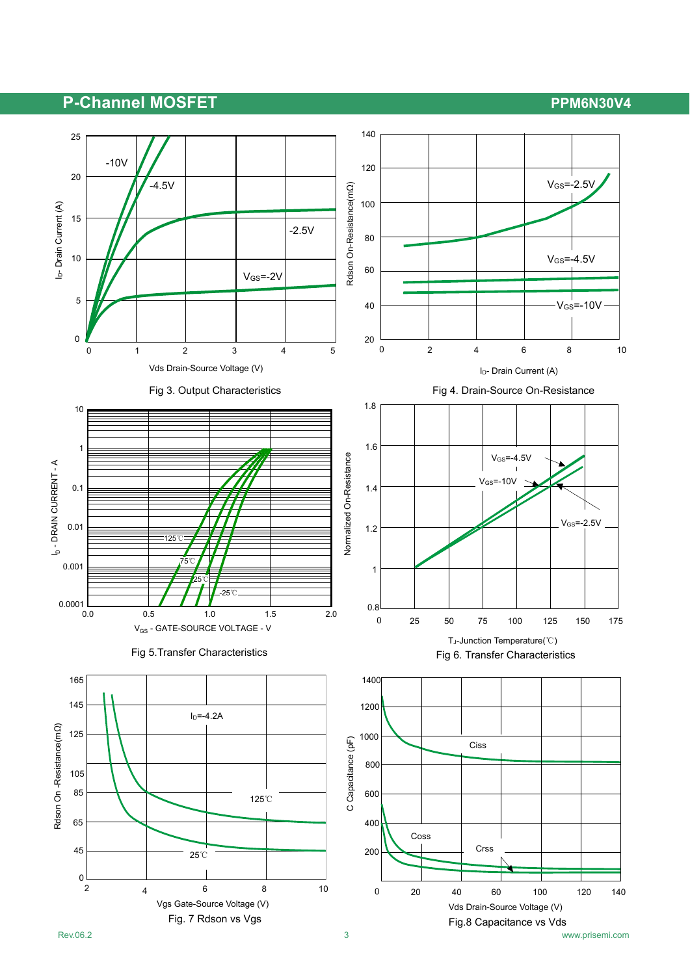## P-Channel MOSFET **PERIODIC PROPISION**

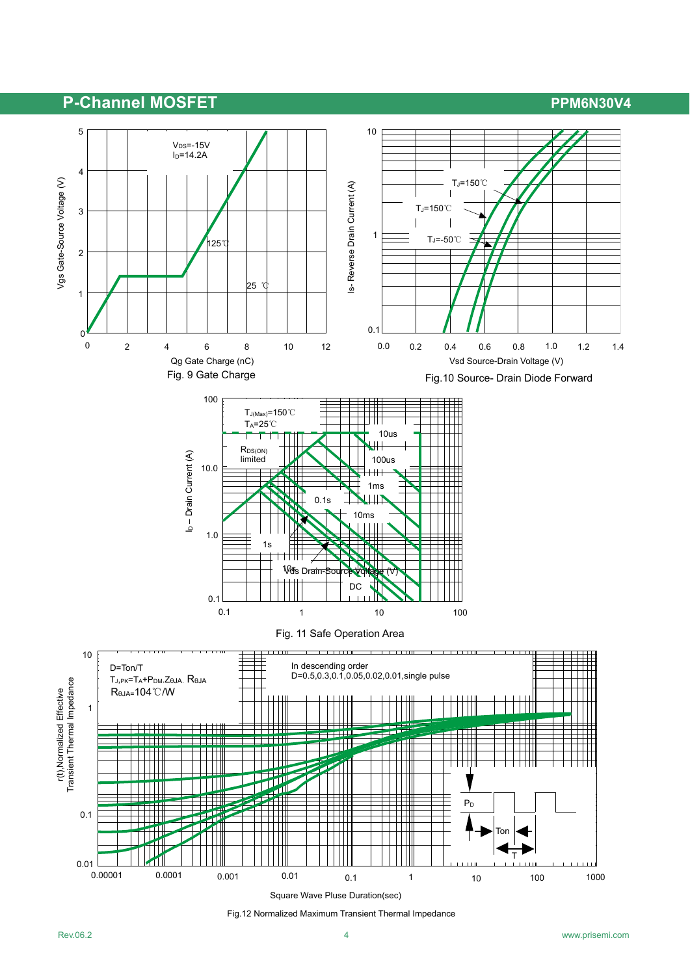

Fig.12 Normalized Maximum Transient Thermal Impedance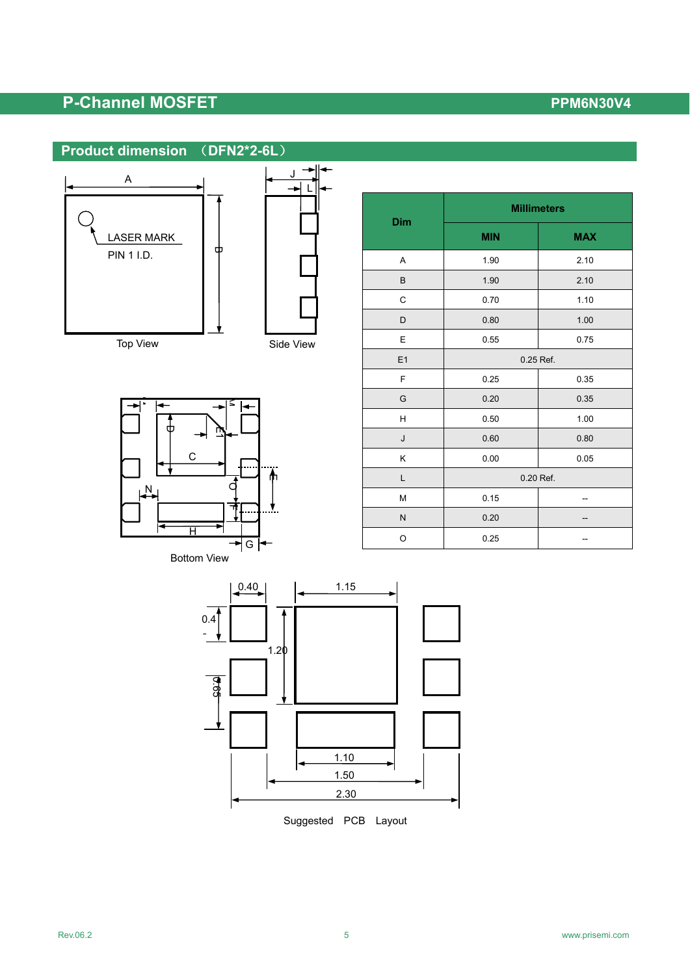





| Dim     | <b>Millimeters</b> |            |  |
|---------|--------------------|------------|--|
|         | <b>MIN</b>         | <b>MAX</b> |  |
| Α       | 1.90               | 2.10       |  |
| $\sf B$ | 1.90               | 2.10       |  |
| C       | 0.70               | 1.10       |  |
| D       | 0.80               | 1.00       |  |
| E       | 0.55               | 0.75       |  |
| E1      | 0.25 Ref.          |            |  |
| F       | 0.25               | 0.35       |  |
| G       | 0.20               | 0.35       |  |
| н       | 0.50               | 1.00       |  |
| J       | 0.60               | 0.80       |  |
| Κ       | 0.00               | 0.05       |  |
| L       | 0.20 Ref.          |            |  |
| M       | 0.15               |            |  |
| N       | 0.20               |            |  |
| O       | 0.25               |            |  |

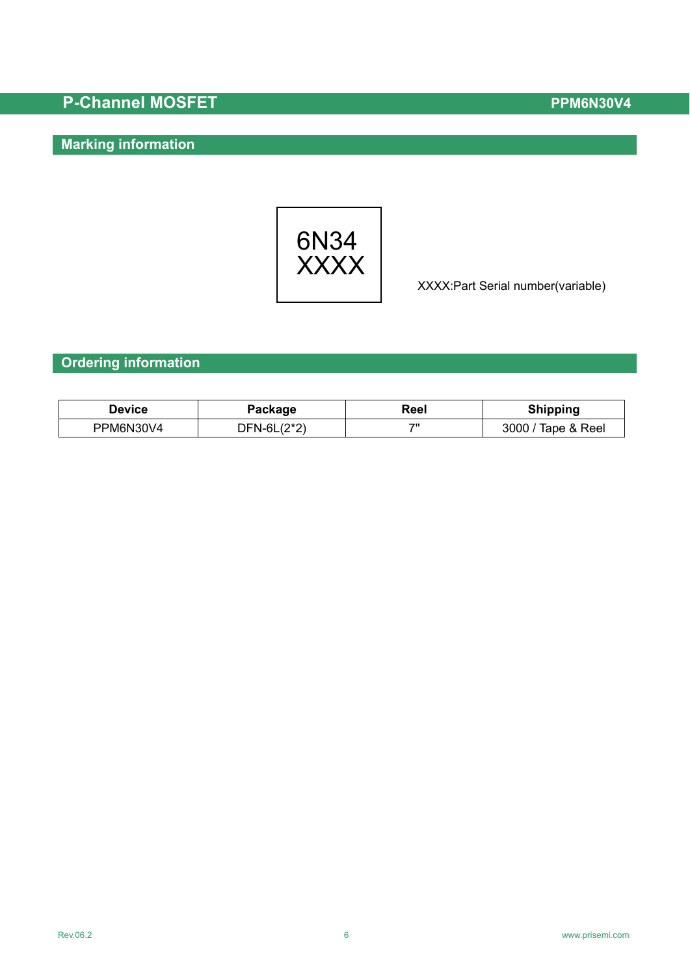## **Marking information**



XXXX:Part Serial number(variable)

#### **Ordering information**

| Device    | Package        | Reel | <b>Shipping</b>    |
|-----------|----------------|------|--------------------|
| PPM6N30V4 | $DFN-6L(2^*2)$ | 70   | 3000 / Tape & Reel |